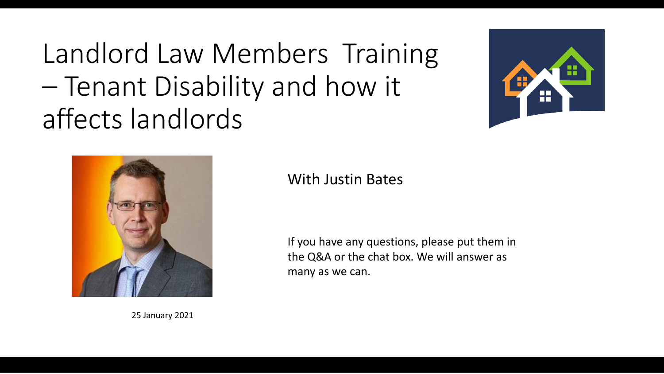Landlord Law Members Training – Tenant Disability and how it affects landlords





25 January 2021

#### With Justin Bates

If you have any questions, please put them in the Q&A or the chat box. We will answer as many as we can.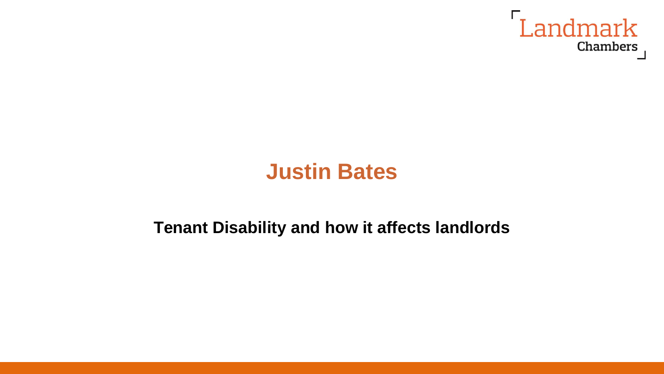

# **Justin Bates**

#### **Tenant Disability and how it affects landlords**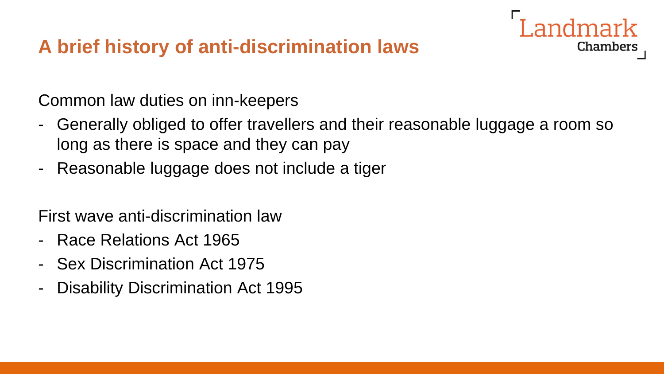# **A brief history of anti-discrimination laws**

Common law duties on inn-keepers

- Generally obliged to offer travellers and their reasonable luggage a room so long as there is space and they can pay

Chambers

- Reasonable luggage does not include a tiger

First wave anti-discrimination law

- Race Relations Act 1965
- Sex Discrimination Act 1975
- Disability Discrimination Act 1995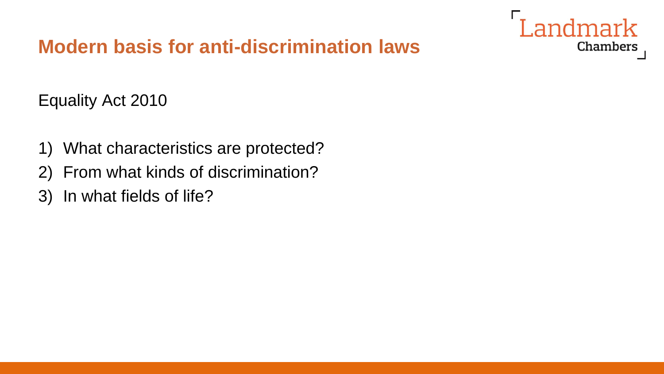

# **Modern basis for anti-discrimination laws**

Equality Act 2010

- 1) What characteristics are protected?
- 2) From what kinds of discrimination?
- 3) In what fields of life?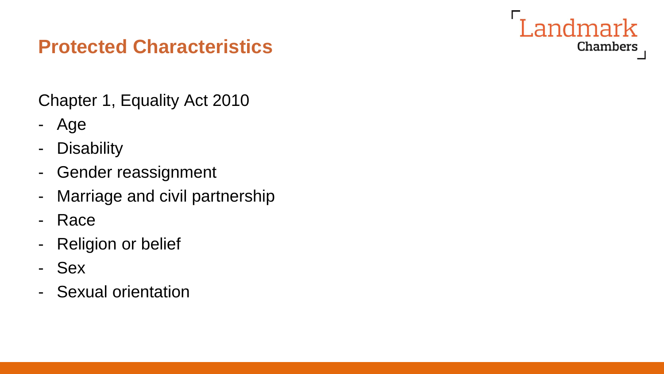

### **Protected Characteristics**

Chapter 1, Equality Act 2010

- Age
- Disability
- Gender reassignment
- Marriage and civil partnership
- Race
- Religion or belief
- Sex
- Sexual orientation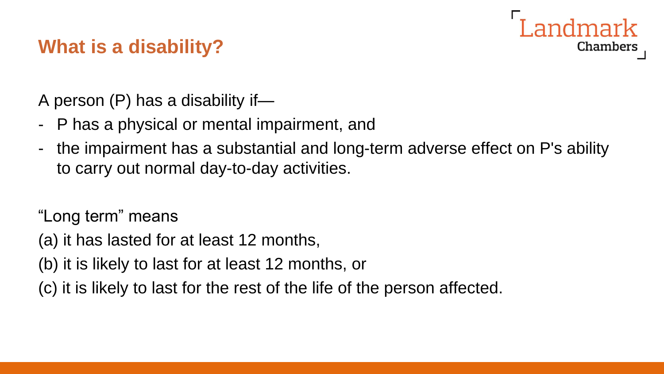# Chambers

## **What is a disability?**

A person (P) has a disability if—

- P has a physical or mental impairment, and
- the impairment has a substantial and long-term adverse effect on P's ability to carry out normal day-to-day activities.

"Long term" means

- (a) it has lasted for at least 12 months,
- (b) it is likely to last for at least 12 months, or
- (c) it is likely to last for the rest of the life of the person affected.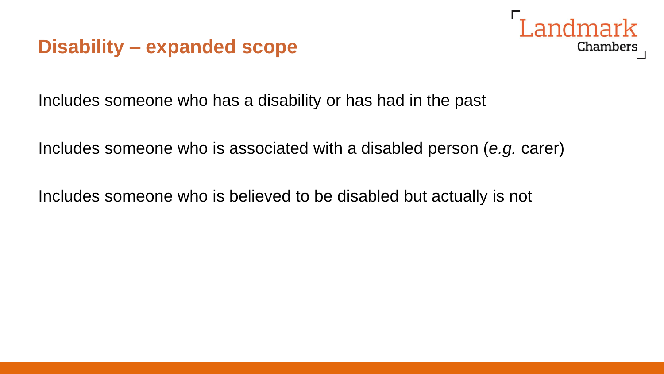### **Disability – expanded scope**



Includes someone who has a disability or has had in the past

Includes someone who is associated with a disabled person (*e.g.* carer)

Includes someone who is believed to be disabled but actually is not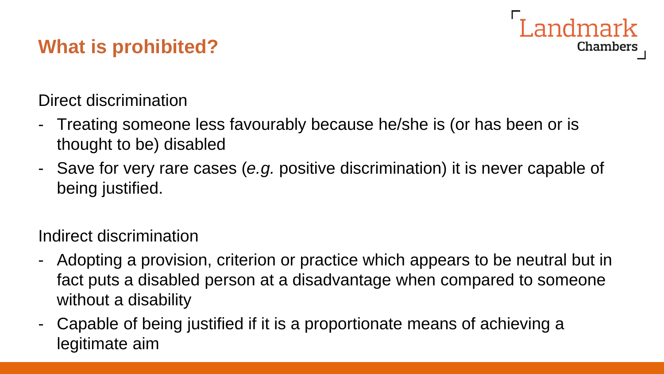# **What is prohibited?**

Direct discrimination

- Treating someone less favourably because he/she is (or has been or is thought to be) disabled
- Save for very rare cases (*e.g.* positive discrimination) it is never capable of being justified.

Landmark

**Chambers** 

Indirect discrimination

- Adopting a provision, criterion or practice which appears to be neutral but in fact puts a disabled person at a disadvantage when compared to someone without a disability
- Capable of being justified if it is a proportionate means of achieving a legitimate aim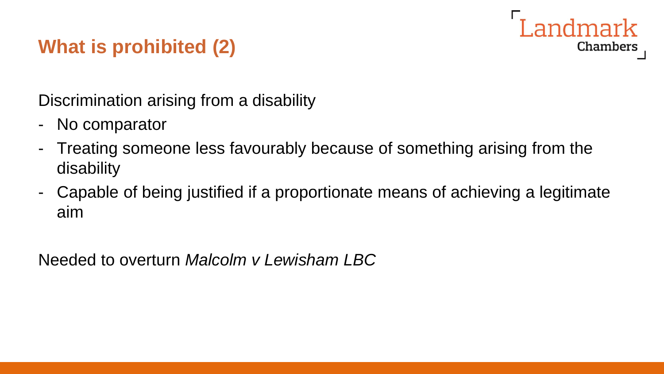

# **What is prohibited (2)**

Discrimination arising from a disability

- No comparator
- Treating someone less favourably because of something arising from the disability
- Capable of being justified if a proportionate means of achieving a legitimate aim

Needed to overturn *Malcolm v Lewisham LBC*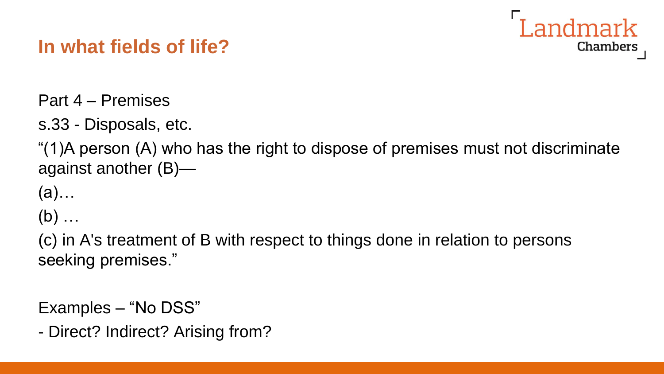# **In what fields of life?**



s.33 - Disposals, etc.

"(1)A person (A) who has the right to dispose of premises must not discriminate against another (B)—

andmark

**Chambers** 

(a)…

 $(b)$  ...

(c) in A's treatment of B with respect to things done in relation to persons seeking premises."

Examples – "No DSS"

```
- Direct? Indirect? Arising from?
```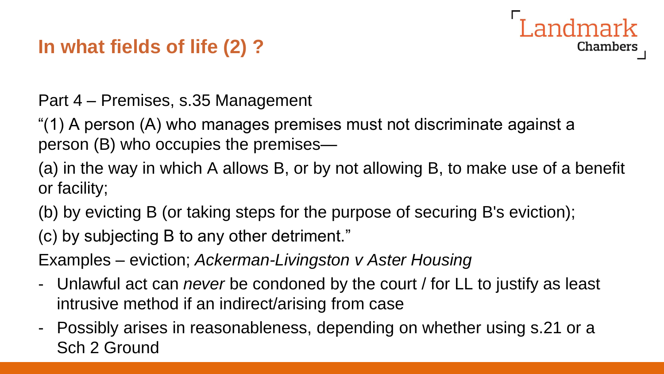# **In what fields of life (2) ?**

Part 4 – Premises, s.35 Management

"(1) A person (A) who manages premises must not discriminate against a person (B) who occupies the premises—

(a) in the way in which A allows B, or by not allowing B, to make use of a benefit or facility;

andmark

Chambers

(b) by evicting B (or taking steps for the purpose of securing B's eviction);

(c) by subjecting B to any other detriment."

Examples – eviction; *Ackerman-Livingston v Aster Housing*

- Unlawful act can *never* be condoned by the court / for LL to justify as least intrusive method if an indirect/arising from case
- Possibly arises in reasonableness, depending on whether using s.21 or a Sch 2 Ground